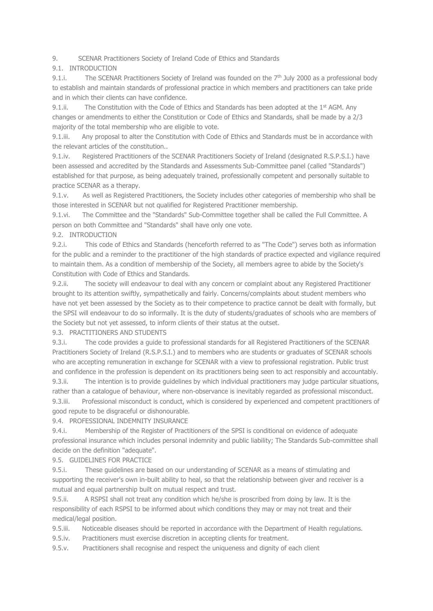9. SCENAR Practitioners Society of Ireland Code of Ethics and Standards

9.1. INTRODUCTION

9.1.i. The SCENAR Practitioners Society of Ireland was founded on the  $7<sup>th</sup>$  July 2000 as a professional body to establish and maintain standards of professional practice in which members and practitioners can take pride and in which their clients can have confidence.

9.1.ii. The Constitution with the Code of Ethics and Standards has been adopted at the  $1<sup>st</sup>$  AGM. Any changes or amendments to either the Constitution or Code of Ethics and Standards, shall be made by a 2/3 majority of the total membership who are eligible to vote.

9.1.iii. Any proposal to alter the Constitution with Code of Ethics and Standards must be in accordance with the relevant articles of the constitution..

9.1.iv. Registered Practitioners of the SCENAR Practitioners Society of Ireland (designated R.S.P.S.I.) have been assessed and accredited by the Standards and Assessments Sub-Committee panel (called "Standards") established for that purpose, as being adequately trained, professionally competent and personally suitable to practice SCENAR as a therapy.

9.1.v. As well as Registered Practitioners, the Society includes other categories of membership who shall be those interested in SCENAR but not qualified for Registered Practitioner membership.

9.1.vi. The Committee and the "Standards" Sub-Committee together shall be called the Full Committee. A person on both Committee and "Standards" shall have only one vote.

#### 9.2. INTRODUCTION

9.2.i. This code of Ethics and Standards (henceforth referred to as "The Code") serves both as information for the public and a reminder to the practitioner of the high standards of practice expected and vigilance required to maintain them. As a condition of membership of the Society, all members agree to abide by the Society's Constitution with Code of Ethics and Standards.

9.2.ii. The society will endeavour to deal with any concern or complaint about any Registered Practitioner brought to its attention swiftly, sympathetically and fairly. Concerns/complaints about student members who have not yet been assessed by the Society as to their competence to practice cannot be dealt with formally, but the SPSI will endeavour to do so informally. It is the duty of students/graduates of schools who are members of the Society but not yet assessed, to inform clients of their status at the outset.

9.3. PRACTITIONERS AND STUDENTS

9.3.i. The code provides a guide to professional standards for all Registered Practitioners of the SCENAR Practitioners Society of Ireland (R.S.P.S.I.) and to members who are students or graduates of SCENAR schools who are accepting remuneration in exchange for SCENAR with a view to professional registration. Public trust and confidence in the profession is dependent on its practitioners being seen to act responsibly and accountably. 9.3.ii. The intention is to provide guidelines by which individual practitioners may judge particular situations,

rather than a catalogue of behaviour, where non-observance is inevitably regarded as professional misconduct. 9.3.iii. Professional misconduct is conduct, which is considered by experienced and competent practitioners of good repute to be disgraceful or dishonourable.

9.4. PROFESSIONAL INDEMNITY INSURANCE

9.4.i. Membership of the Register of Practitioners of the SPSI is conditional on evidence of adequate professional insurance which includes personal indemnity and public liability; The Standards Sub-committee shall decide on the definition "adequate".

9.5. GUIDELINES FOR PRACTICE

9.5.i. These guidelines are based on our understanding of SCENAR as a means of stimulating and supporting the receiver's own in-built ability to heal, so that the relationship between giver and receiver is a mutual and equal partnership built on mutual respect and trust.

9.5.ii. A RSPSI shall not treat any condition which he/she is proscribed from doing by law. It is the responsibility of each RSPSI to be informed about which conditions they may or may not treat and their medical/legal position.

9.5.iii. Noticeable diseases should be reported in accordance with the Department of Health regulations.

9.5.iv. Practitioners must exercise discretion in accepting clients for treatment.

9.5.v. Practitioners shall recognise and respect the uniqueness and dignity of each client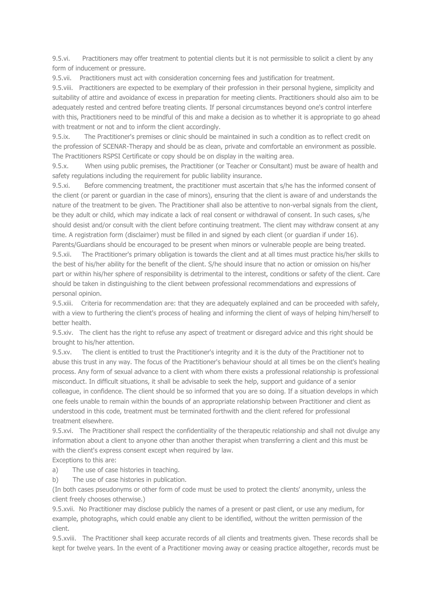9.5.vi. Practitioners may offer treatment to potential clients but it is not permissible to solicit a client by any form of inducement or pressure.

9.5.vii. Practitioners must act with consideration concerning fees and justification for treatment.

9.5.viii. Practitioners are expected to be exemplary of their profession in their personal hygiene, simplicity and suitability of attire and avoidance of excess in preparation for meeting clients. Practitioners should also aim to be adequately rested and centred before treating clients. If personal circumstances beyond one's control interfere with this, Practitioners need to be mindful of this and make a decision as to whether it is appropriate to go ahead with treatment or not and to inform the client accordingly.

9.5.ix. The Practitioner's premises or clinic should be maintained in such a condition as to reflect credit on the profession of SCENAR-Therapy and should be as clean, private and comfortable an environment as possible. The Practitioners RSPSI Certificate or copy should be on display in the waiting area.

9.5.x. When using public premises, the Practitioner (or Teacher or Consultant) must be aware of health and safety regulations including the requirement for public liability insurance.

9.5.xi. Before commencing treatment, the practitioner must ascertain that s/he has the informed consent of the client (or parent or guardian in the case of minors), ensuring that the client is aware of and understands the nature of the treatment to be given. The Practitioner shall also be attentive to non-verbal signals from the client, be they adult or child, which may indicate a lack of real consent or withdrawal of consent. In such cases, s/he should desist and/or consult with the client before continuing treatment. The client may withdraw consent at any time. A registration form (disclaimer) must be filled in and signed by each client (or guardian if under 16). Parents/Guardians should be encouraged to be present when minors or vulnerable people are being treated.

9.5.xii. The Practitioner's primary obligation is towards the client and at all times must practice his/her skills to the best of his/her ability for the benefit of the client. S/he should insure that no action or omission on his/her part or within his/her sphere of responsibility is detrimental to the interest, conditions or safety of the client. Care should be taken in distinguishing to the client between professional recommendations and expressions of personal opinion.

9.5.xiii. Criteria for recommendation are: that they are adequately explained and can be proceeded with safely, with a view to furthering the client's process of healing and informing the client of ways of helping him/herself to better health.

9.5.xiv. The client has the right to refuse any aspect of treatment or disregard advice and this right should be brought to his/her attention.

9.5.xv. The client is entitled to trust the Practitioner's integrity and it is the duty of the Practitioner not to abuse this trust in any way. The focus of the Practitioner's behaviour should at all times be on the client's healing process. Any form of sexual advance to a client with whom there exists a professional relationship is professional misconduct. In difficult situations, it shall be advisable to seek the help, support and guidance of a senior colleague, in confidence. The client should be so informed that you are so doing. If a situation develops in which one feels unable to remain within the bounds of an appropriate relationship between Practitioner and client as understood in this code, treatment must be terminated forthwith and the client refered for professional treatment elsewhere.

9.5.xvi. The Practitioner shall respect the confidentiality of the therapeutic relationship and shall not divulge any information about a client to anyone other than another therapist when transferring a client and this must be with the client's express consent except when required by law.

Exceptions to this are:

- a) The use of case histories in teaching.
- b) The use of case histories in publication.

(In both cases pseudonyms or other form of code must be used to protect the clients' anonymity, unless the client freely chooses otherwise.)

9.5.xvii. No Practitioner may disclose publicly the names of a present or past client, or use any medium, for example, photographs, which could enable any client to be identified, without the written permission of the client.

9.5.xviii. The Practitioner shall keep accurate records of all clients and treatments given. These records shall be kept for twelve years. In the event of a Practitioner moving away or ceasing practice altogether, records must be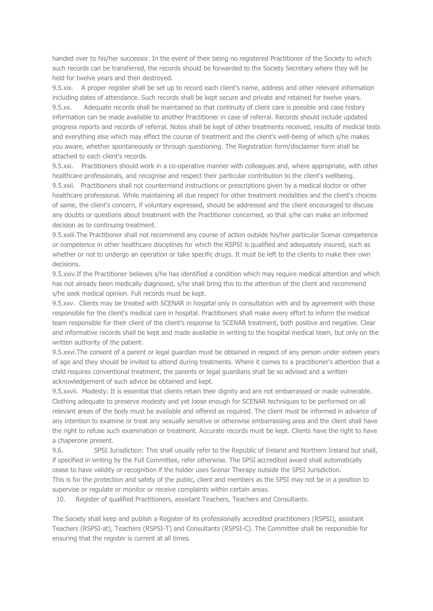handed over to his/her successor. In the event of their being no registered Practitioner of the Society to which such records can be transferred, the records should be forwarded to the Society Secretary where they will be held for twelve years and then destroyed.

9.5.xix. A proper register shall be set up to record each client's name, address and other relevant information including dates of attendance. Such records shall be kept secure and private and retained for twelve years. 9.5.xx. Adequate records shall be maintained so that continuity of client care is possible and case history information can be made available to another Practitioner in case of referral. Records should include updated progress reports and records of referral. Notes shall be kept of other treatments received, results of medical tests and everything else which may effect the course of treatment and the client's well-being of which s/he makes you aware, whether spontaneously or through questioning. The Registration form/disclaimer form shall be attached to each client's records.

9.5.xxi. Practitioners should work in a co-operative manner with colleagues and, where appropriate, with other healthcare professionals, and recognise and respect their particular contribution to the client's wellbeing. 9.5.xxii. Practitioners shall not countermand instructions or prescriptions given by a medical doctor or other healthcare professional. While maintaining all due respect for other treatment modalities and the client's choices of same, the client's concern, if voluntary expressed, should be addressed and the client encouraged to discuss any doubts or questions about treatment with the Practitioner concerned, so that s/he can make an informed decision as to continuing treatment.

9.5.xxiii.The Practitioner shall not recommend any course of action outside his/her particular Scenar competence or competence in other healthcare disciplines for which the RSPSI is qualified and adequately insured, such as whether or not to undergo an operation or take specific drugs. It must be left to the clients to make their own decisions.

9.5.xxiv.If the Practitioner believes s/he has identified a condition which may require medical attention and which has not already been medically diagnosed, s/he shall bring this to the attention of the client and recommend s/he seek medical opinion. Full records must be kept.

9.5.xxv. Clients may be treated with SCENAR in hospital only in consultation with and by agreement with those responsible for the client's medical care in hospital. Practitioners shall make every effort to inform the medical team responsible for their client of the client's response to SCENAR treatment, both positive and negative. Clear and informative records shall be kept and made available in writing to the hospital medical team, but only on the written authority of the patient.

9.5.xxvi.The consent of a parent or legal guardian must be obtained in respect of any person under sixteen years of age and they should be invited to attend during treatments. Where it comes to a practitioner's attention that a child requires conventional treatment, the parents or legal guardians shall be so advised and a written acknowledgement of such advice be obtained and kept.

9.5.xxvii. Modesty: It is essential that clients retain their dignity and are not embarrassed or made vulnerable. Clothing adequate to preserve modesty and yet loose enough for SCENAR techniques to be performed on all relevant areas of the body must be available and offered as required. The client must be informed in advance of any intention to examine or treat any sexually sensitive or otherwise embarrassing area and the client shall have the right to refuse such examination or treatment. Accurate records must be kept. Clients have the right to have a chaperone present.

9.6. SPSI Jurisdiction: This shall usually refer to the Republic of Ireland and Northern Ireland but shall, if specified in writing by the Full Committee, refer otherwise. The SPSI accredited award shall automatically cease to have validity or recognition if the holder uses Scenar Therapy outside the SPSI Jurisdiction. This is for the protection and safety of the public, client and members as the SPSI may not be in a position to supervise or regulate or monitor or receive complaints within certain areas.

10. Register of qualified Practitioners, assistant Teachers, Teachers and Consultants.

The Society shall keep and publish a Register of its professionally accredited practitioners (RSPSI), assistant Teachers (RSPSI-at), Teachers (RSPSI-T) and Consultants (RSPSI-C). The Committee shall be responsible for ensuring that the register is current at all times.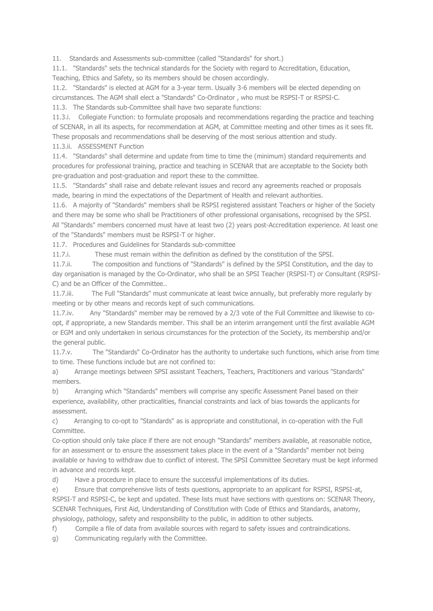11. Standards and Assessments sub-committee (called "Standards" for short.)

11.1. "Standards" sets the technical standards for the Society with regard to Accreditation, Education, Teaching, Ethics and Safety, so its members should be chosen accordingly.

11.2. "Standards" is elected at AGM for a 3-year term. Usually 3-6 members will be elected depending on circumstances. The AGM shall elect a "Standards" Co-Ordinator , who must be RSPSI-T or RSPSI-C.

11.3. The Standards sub-Committee shall have two separate functions:

11.3.i. Collegiate Function: to formulate proposals and recommendations regarding the practice and teaching of SCENAR, in all its aspects, for recommendation at AGM, at Committee meeting and other times as it sees fit. These proposals and recommendations shall be deserving of the most serious attention and study.

11.3.ii. ASSESSMENT Function

11.4. "Standards" shall determine and update from time to time the (minimum) standard requirements and procedures for professional training, practice and teaching in SCENAR that are acceptable to the Society both pre-graduation and post-graduation and report these to the committee.

11.5. "Standards" shall raise and debate relevant issues and record any agreements reached or proposals made, bearing in mind the expectations of the Department of Health and relevant authorities.

11.6. A majority of "Standards" members shall be RSPSI registered assistant Teachers or higher of the Society and there may be some who shall be Practitioners of other professional organisations, recognised by the SPSI. All "Standards" members concerned must have at least two (2) years post-Accreditation experience. At least one of the "Standards" members must be RSPSI-T or higher.

11.7. Procedures and Guidelines for Standards sub-committee

11.7.i. These must remain within the definition as defined by the constitution of the SPSI.

11.7.ii. The composition and functions of "Standards" is defined by the SPSI Constitution, and the day to day organisation is managed by the Co-Ordinator, who shall be an SPSI Teacher (RSPSI-T) or Consultant (RSPSI-C) and be an Officer of the Committee..

11.7.iii. The Full "Standards" must communicate at least twice annually, but preferably more regularly by meeting or by other means and records kept of such communications.

11.7.iv. Any "Standards" member may be removed by a 2/3 vote of the Full Committee and likewise to coopt, if appropriate, a new Standards member. This shall be an interim arrangement until the first available AGM or EGM and only undertaken in serious circumstances for the protection of the Society, its membership and/or the general public.

11.7.v. The "Standards" Co-Ordinator has the authority to undertake such functions, which arise from time to time. These functions include but are not confined to:

a) Arrange meetings between SPSI assistant Teachers, Teachers, Practitioners and various "Standards" members.

b) Arranging which "Standards" members will comprise any specific Assessment Panel based on their experience, availability, other practicalities, financial constraints and lack of bias towards the applicants for assessment.

c) Arranging to co-opt to "Standards" as is appropriate and constitutional, in co-operation with the Full Committee.

Co-option should only take place if there are not enough "Standards" members available, at reasonable notice, for an assessment or to ensure the assessment takes place in the event of a "Standards" member not being available or having to withdraw due to conflict of interest. The SPSI Committee Secretary must be kept informed in advance and records kept.

d) Have a procedure in place to ensure the successful implementations of its duties.

e) Ensure that comprehensive lists of tests questions, appropriate to an applicant for RSPSI, RSPSI-at, RSPSI-T and RSPSI-C, be kept and updated. These lists must have sections with questions on: SCENAR Theory, SCENAR Techniques, First Aid, Understanding of Constitution with Code of Ethics and Standards, anatomy, physiology, pathology, safety and responsibility to the public, in addition to other subjects.

f) Compile a file of data from available sources with regard to safety issues and contraindications.

g) Communicating regularly with the Committee.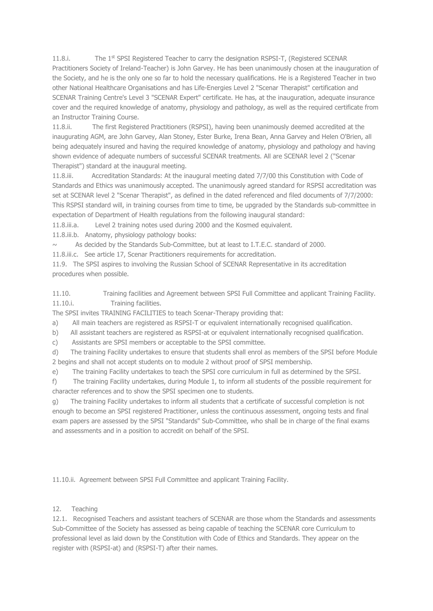11.8.i. The 1<sup>st</sup> SPSI Registered Teacher to carry the designation RSPSI-T, (Registered SCENAR Practitioners Society of Ireland-Teacher) is John Garvey. He has been unanimously chosen at the inauguration of the Society, and he is the only one so far to hold the necessary qualifications. He is a Registered Teacher in two other National Healthcare Organisations and has Life-Energies Level 2 "Scenar Therapist" certification and SCENAR Training Centre's Level 3 "SCENAR Expert" certificate. He has, at the inauguration, adequate insurance cover and the required knowledge of anatomy, physiology and pathology, as well as the required certificate from an Instructor Training Course.

11.8.ii. The first Registered Practitioners (RSPSI), having been unanimously deemed accredited at the inaugurating AGM, are John Garvey, Alan Stoney, Ester Burke, Irena Bean, Anna Garvey and Helen O'Brien, all being adequately insured and having the required knowledge of anatomy, physiology and pathology and having shown evidence of adequate numbers of successful SCENAR treatments. All are SCENAR level 2 ("Scenar Therapist") standard at the inaugural meeting.

11.8.iii. Accreditation Standards: At the inaugural meeting dated 7/7/00 this Constitution with Code of Standards and Ethics was unanimously accepted. The unanimously agreed standard for RSPSI accreditation was set at SCENAR level 2 "Scenar Therapist", as defined in the dated referenced and filed documents of 7/7/2000: This RSPSI standard will, in training courses from time to time, be upgraded by the Standards sub-committee in expectation of Department of Health regulations from the following inaugural standard:

11.8.iii.a. Level 2 training notes used during 2000 and the Kosmed equivalent.

11.8.iii.b. Anatomy, physiology pathology books:

As decided by the Standards Sub-Committee, but at least to I.T.E.C. standard of 2000.

11.8.iii.c. See article 17, Scenar Practitioners requirements for accreditation.

11.9. The SPSI aspires to involving the Russian School of SCENAR Representative in its accreditation procedures when possible.

11.10. Training facilities and Agreement between SPSI Full Committee and applicant Training Facility. 11.10.i. Training facilities.

The SPSI invites TRAINING FACILITIES to teach Scenar-Therapy providing that:

a) All main teachers are registered as RSPSI-T or equivalent internationally recognised qualification.

b) All assistant teachers are registered as RSPSI-at or equivalent internationally recognised qualification.

c) Assistants are SPSI members or acceptable to the SPSI committee.

d) The training Facility undertakes to ensure that students shall enrol as members of the SPSI before Module 2 begins and shall not accept students on to module 2 without proof of SPSI membership.

e) The training Facility undertakes to teach the SPSI core curriculum in full as determined by the SPSI.

f) The training Facility undertakes, during Module 1, to inform all students of the possible requirement for character references and to show the SPSI specimen one to students.

g) The training Facility undertakes to inform all students that a certificate of successful completion is not enough to become an SPSI registered Practitioner, unless the continuous assessment, ongoing tests and final exam papers are assessed by the SPSI "Standards" Sub-Committee, who shall be in charge of the final exams and assessments and in a position to accredit on behalf of the SPSI.

11.10.ii. Agreement between SPSI Full Committee and applicant Training Facility.

### 12. Teaching

12.1. Recognised Teachers and assistant teachers of SCENAR are those whom the Standards and assessments Sub-Committee of the Society has assessed as being capable of teaching the SCENAR core Curriculum to professional level as laid down by the Constitution with Code of Ethics and Standards. They appear on the register with (RSPSI-at) and (RSPSI-T) after their names.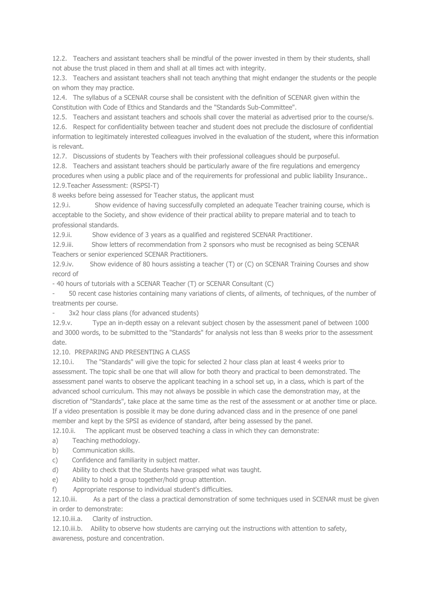12.2. Teachers and assistant teachers shall be mindful of the power invested in them by their students, shall not abuse the trust placed in them and shall at all times act with integrity.

12.3. Teachers and assistant teachers shall not teach anything that might endanger the students or the people on whom they may practice.

12.4. The syllabus of a SCENAR course shall be consistent with the definition of SCENAR given within the Constitution with Code of Ethics and Standards and the "Standards Sub-Committee".

12.5. Teachers and assistant teachers and schools shall cover the material as advertised prior to the course/s.

12.6. Respect for confidentiality between teacher and student does not preclude the disclosure of confidential information to legitimately interested colleagues involved in the evaluation of the student, where this information is relevant.

12.7. Discussions of students by Teachers with their professional colleagues should be purposeful.

12.8. Teachers and assistant teachers should be particularly aware of the fire regulations and emergency procedures when using a public place and of the requirements for professional and public liability Insurance.. 12.9.Teacher Assessment: (RSPSI-T)

8 weeks before being assessed for Teacher status, the applicant must

12.9.i. Show evidence of having successfully completed an adequate Teacher training course, which is acceptable to the Society, and show evidence of their practical ability to prepare material and to teach to professional standards.

12.9.ii. Show evidence of 3 years as a qualified and registered SCENAR Practitioner.

12.9.iii. Show letters of recommendation from 2 sponsors who must be recognised as being SCENAR Teachers or senior experienced SCENAR Practitioners.

12.9.iv. Show evidence of 80 hours assisting a teacher (T) or (C) on SCENAR Training Courses and show record of

- 40 hours of tutorials with a SCENAR Teacher (T) or SCENAR Consultant (C)

- 50 recent case histories containing many variations of clients, of ailments, of techniques, of the number of treatments per course.

3x2 hour class plans (for advanced students)

12.9.v. Type an in-depth essay on a relevant subject chosen by the assessment panel of between 1000 and 3000 words, to be submitted to the "Standards" for analysis not less than 8 weeks prior to the assessment date.

12.10. PREPARING AND PRESENTING A CLASS

12.10.i. The "Standards" will give the topic for selected 2 hour class plan at least 4 weeks prior to assessment. The topic shall be one that will allow for both theory and practical to been demonstrated. The assessment panel wants to observe the applicant teaching in a school set up, in a class, which is part of the advanced school curriculum. This may not always be possible in which case the demonstration may, at the discretion of "Standards", take place at the same time as the rest of the assessment or at another time or place. If a video presentation is possible it may be done during advanced class and in the presence of one panel member and kept by the SPSI as evidence of standard, after being assessed by the panel.

12.10.ii. The applicant must be observed teaching a class in which they can demonstrate:

- a) Teaching methodology.
- b) Communication skills.
- c) Confidence and familiarity in subject matter.
- d) Ability to check that the Students have grasped what was taught.
- e) Ability to hold a group together/hold group attention.
- f) Appropriate response to individual student's difficulties.

12.10.iii. As a part of the class a practical demonstration of some techniques used in SCENAR must be given in order to demonstrate:

12.10.iii.a. Clarity of instruction.

12.10.iii.b. Ability to observe how students are carrying out the instructions with attention to safety, awareness, posture and concentration.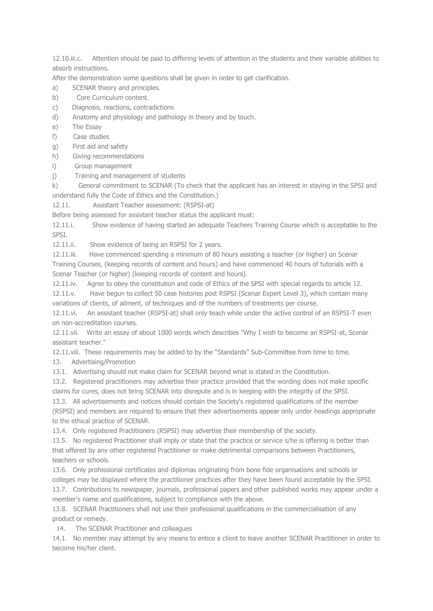12.10.iii.c. Attention should be paid to differing levels of attention in the students and their variable abilities to absorb instructions.

After the demonstration some questions shall be given in order to get clarification.

- a) SCENAR theory and principles.
- b) Core Curriculum content.
- c) Diagnosis, reactions, contradictions
- d) Anatomy and physiology and pathology in theory and by touch.
- e) The Essay
- f) Case studies
- g) First aid and safety
- h) Giving recommendations
- i) Group management
- j) Training and management of students

k) General commitment to SCENAR (To check that the applicant has an interest in staying in the SPSI and understand fully the Code of Ethics and the Constitution.)

12.11. Assistant Teacher assessment: (RSPSI-at)

Before being assessed for assistant teacher status the applicant must:

12.11.i. Show evidence of having started an adequate Teachers Training Course which is acceptable to the SPSI.

12.11.ii. Show evidence of being an RSPSI for 2 years.

12.11.iii. Have commenced spending a minimum of 80 hours assisting a teacher (or higher) on Scenar Training Courses, (keeping records of content and hours) and have commenced 40 hours of tutorials with a Scenar Teacher (or higher) (keeping records of content and hours).

12.11.iv. Agree to obey the constitution and code of Ethics of the SPSI with special regards to article 12.

12.11.v. Have begun to collect 50 case histories post RSPSI (Scenar Expert Level 3), which contain many variations of clients, of ailment, of techniques and of the numbers of treatments per course.

12.11.vi. An assistant teacher (RSPSI-at) shall only teach while under the active control of an RSPSI-T even on non-accreditation courses.

12.11.vii. Write an essay of about 1000 words which describes "Why I wish to become an RSPSI-at, Scenar assistant teacher."

12.11.viii. These requirements may be added to by the "Standards" Sub-Committee from time to time.

13. Advertising/Promotion

13.1. Advertising should not make claim for SCENAR beyond what is stated in the Constitution.

13.2. Registered practitioners may advertise their practice provided that the wording does not make specific claims for cures, does not bring SCENAR into disrepute and is in keeping with the integrity of the SPSI.

13.3. All advertisements and notices should contain the Society's registered qualifications of the member (RSPSI) and members are required to ensure that their advertisements appear only under headings appropriate to the ethical practice of SCENAR.

13.4. Only registered Practitioners (RSPSI) may advertise their membership of the society.

13.5. No registered Practitioner shall imply or state that the practice or service s/he is offering is better than that offered by any other registered Practitioner or make detrimental comparisons between Practitioners, teachers or schools.

13.6. Only professional certificates and diplomas originating from bone fide organisations and schools or colleges may be displayed where the practitioner practices after they have been found acceptable by the SPSI. 13.7. Contributions to newspaper, journals, professional papers and other published works may appear under a

member's name and qualifications, subject to compliance with the above.

13.8. SCENAR Practitioners shall not use their professional qualifications in the commercialisation of any product or remedy.

14. The SCENAR Practitioner and colleagues

14.1. No member may attempt by any means to entice a client to leave another SCENAR Practitioner in order to become his/her client.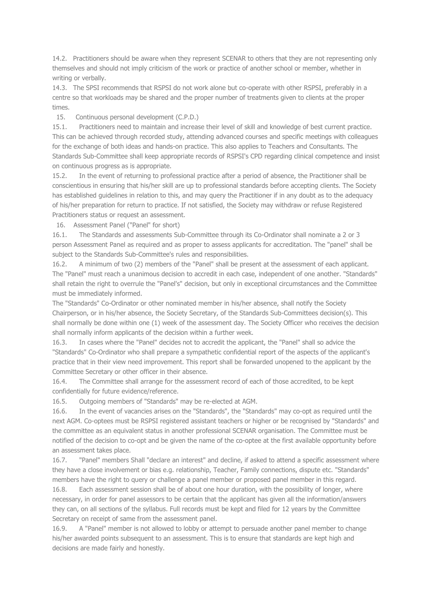14.2. Practitioners should be aware when they represent SCENAR to others that they are not representing only themselves and should not imply criticism of the work or practice of another school or member, whether in writing or verbally.

14.3. The SPSI recommends that RSPSI do not work alone but co-operate with other RSPSI, preferably in a centre so that workloads may be shared and the proper number of treatments given to clients at the proper times.

15. Continuous personal development (C.P.D.)

15.1. Practitioners need to maintain and increase their level of skill and knowledge of best current practice. This can be achieved through recorded study, attending advanced courses and specific meetings with colleagues for the exchange of both ideas and hands-on practice. This also applies to Teachers and Consultants. The Standards Sub-Committee shall keep appropriate records of RSPSI's CPD regarding clinical competence and insist on continuous progress as is appropriate.

15.2. In the event of returning to professional practice after a period of absence, the Practitioner shall be conscientious in ensuring that his/her skill are up to professional standards before accepting clients. The Society has established guidelines in relation to this, and may query the Practitioner if in any doubt as to the adequacy of his/her preparation for return to practice. If not satisfied, the Society may withdraw or refuse Registered Practitioners status or request an assessment.

16. Assessment Panel ("Panel" for short)

16.1. The Standards and assessments Sub-Committee through its Co-Ordinator shall nominate a 2 or 3 person Assessment Panel as required and as proper to assess applicants for accreditation. The "panel" shall be subject to the Standards Sub-Committee's rules and responsibilities.

16.2. A minimum of two (2) members of the "Panel" shall be present at the assessment of each applicant. The "Panel" must reach a unanimous decision to accredit in each case, independent of one another. "Standards" shall retain the right to overrule the "Panel's" decision, but only in exceptional circumstances and the Committee must be immediately informed.

The "Standards" Co-Ordinator or other nominated member in his/her absence, shall notify the Society Chairperson, or in his/her absence, the Society Secretary, of the Standards Sub-Committees decision(s). This shall normally be done within one (1) week of the assessment day. The Society Officer who receives the decision shall normally inform applicants of the decision within a further week.

16.3. In cases where the "Panel" decides not to accredit the applicant, the "Panel" shall so advice the "Standards" Co-Ordinator who shall prepare a sympathetic confidential report of the aspects of the applicant's practice that in their view need improvement. This report shall be forwarded unopened to the applicant by the Committee Secretary or other officer in their absence.

16.4. The Committee shall arrange for the assessment record of each of those accredited, to be kept confidentially for future evidence/reference.

16.5. Outgoing members of "Standards" may be re-elected at AGM.

16.6. In the event of vacancies arises on the "Standards", the "Standards" may co-opt as required until the next AGM. Co-optees must be RSPSI registered assistant teachers or higher or be recognised by "Standards" and the committee as an equivalent status in another professional SCENAR organisation. The Committee must be notified of the decision to co-opt and be given the name of the co-optee at the first available opportunity before an assessment takes place.

16.7. "Panel" members Shall "declare an interest" and decline, if asked to attend a specific assessment where they have a close involvement or bias e.g. relationship, Teacher, Family connections, dispute etc. "Standards" members have the right to query or challenge a panel member or proposed panel member in this regard.

16.8. Each assessment session shall be of about one hour duration, with the possibility of longer, where necessary, in order for panel assessors to be certain that the applicant has given all the information/answers they can, on all sections of the syllabus. Full records must be kept and filed for 12 years by the Committee Secretary on receipt of same from the assessment panel.

16.9. A "Panel" member is not allowed to lobby or attempt to persuade another panel member to change his/her awarded points subsequent to an assessment. This is to ensure that standards are kept high and decisions are made fairly and honestly.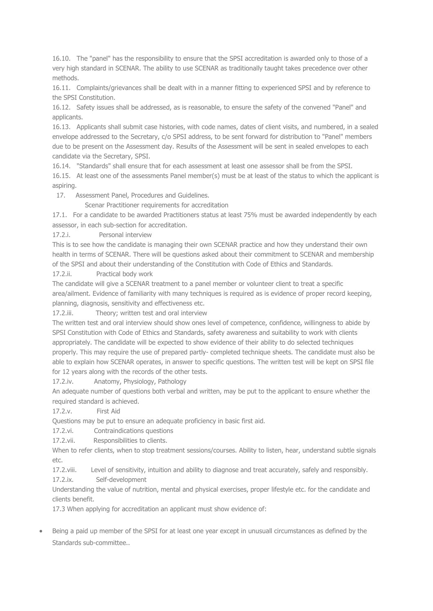16.10. The "panel" has the responsibility to ensure that the SPSI accreditation is awarded only to those of a very high standard in SCENAR. The ability to use SCENAR as traditionally taught takes precedence over other methods.

16.11. Complaints/grievances shall be dealt with in a manner fitting to experienced SPSI and by reference to the SPSI Constitution.

16.12. Safety issues shall be addressed, as is reasonable, to ensure the safety of the convened "Panel" and applicants.

16.13. Applicants shall submit case histories, with code names, dates of client visits, and numbered, in a sealed envelope addressed to the Secretary, c/o SPSI address, to be sent forward for distribution to "Panel" members due to be present on the Assessment day. Results of the Assessment will be sent in sealed envelopes to each candidate via the Secretary, SPSI.

16.14. "Standards" shall ensure that for each assessment at least one assessor shall be from the SPSI. 16.15. At least one of the assessments Panel member(s) must be at least of the status to which the applicant is aspiring.

17. Assessment Panel, Procedures and Guidelines.

Scenar Practitioner requirements for accreditation

17.1. For a candidate to be awarded Practitioners status at least 75% must be awarded independently by each assessor, in each sub-section for accreditation.

17.2.i. Personal interview

This is to see how the candidate is managing their own SCENAR practice and how they understand their own health in terms of SCENAR. There will be questions asked about their commitment to SCENAR and membership of the SPSI and about their understanding of the Constitution with Code of Ethics and Standards.

17.2.ii. Practical body work

The candidate will give a SCENAR treatment to a panel member or volunteer client to treat a specific area/ailment. Evidence of familiarity with many techniques is required as is evidence of proper record keeping, planning, diagnosis, sensitivity and effectiveness etc.

17.2.iii. Theory; written test and oral interview

The written test and oral interview should show ones level of competence, confidence, willingness to abide by SPSI Constitution with Code of Ethics and Standards, safety awareness and suitability to work with clients appropriately. The candidate will be expected to show evidence of their ability to do selected techniques properly. This may require the use of prepared partly- completed technique sheets. The candidate must also be able to explain how SCENAR operates, in answer to specific questions. The written test will be kept on SPSI file for 12 years along with the records of the other tests.

17.2.iv. Anatomy, Physiology, Pathology

An adequate number of questions both verbal and written, may be put to the applicant to ensure whether the required standard is achieved.

17.2.v. First Aid

Questions may be put to ensure an adequate proficiency in basic first aid.

17.2.vi. Contraindications questions

17.2.vii. Responsibilities to clients.

When to refer clients, when to stop treatment sessions/courses. Ability to listen, hear, understand subtle signals etc.

17.2.viii. Level of sensitivity, intuition and ability to diagnose and treat accurately, safely and responsibly. 17.2.ix. Self-development

Understanding the value of nutrition, mental and physical exercises, proper lifestyle etc. for the candidate and clients benefit.

17.3 When applying for accreditation an applicant must show evidence of:

 Being a paid up member of the SPSI for at least one year except in unusuall circumstances as defined by the Standards sub-committee..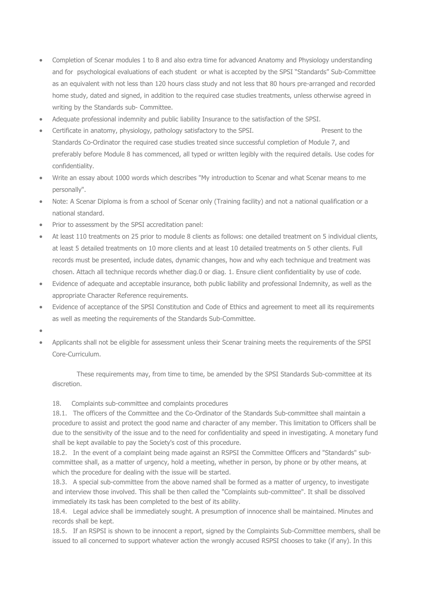- Completion of Scenar modules 1 to 8 and also extra time for advanced Anatomy and Physiology understanding and for psychological evaluations of each student or what is accepted by the SPSI "Standards" Sub-Committee as an equivalent with not less than 120 hours class study and not less that 80 hours pre-arranged and recorded home study, dated and signed, in addition to the required case studies treatments, unless otherwise agreed in writing by the Standards sub- Committee.
- Adequate professional indemnity and public liability Insurance to the satisfaction of the SPSI.
- Certificate in anatomy, physiology, pathology satisfactory to the SPSI. Present to the Standards Co-Ordinator the required case studies treated since successful completion of Module 7, and preferably before Module 8 has commenced, all typed or written legibly with the required details. Use codes for confidentiality.
- Write an essay about 1000 words which describes "My introduction to Scenar and what Scenar means to me personally".
- Note: A Scenar Diploma is from a school of Scenar only (Training facility) and not a national qualification or a national standard.
- Prior to assessment by the SPSI accreditation panel:
- At least 110 treatments on 25 prior to module 8 clients as follows: one detailed treatment on 5 individual clients, at least 5 detailed treatments on 10 more clients and at least 10 detailed treatments on 5 other clients. Full records must be presented, include dates, dynamic changes, how and why each technique and treatment was chosen. Attach all technique records whether diag.0 or diag. 1. Ensure client confidentiality by use of code.
- Evidence of adequate and acceptable insurance, both public liability and professional Indemnity, as well as the appropriate Character Reference requirements.
- Evidence of acceptance of the SPSI Constitution and Code of Ethics and agreement to meet all its requirements as well as meeting the requirements of the Standards Sub-Committee.
- $\bullet$
- Applicants shall not be eligible for assessment unless their Scenar training meets the requirements of the SPSI Core-Curriculum.

 These requirements may, from time to time, be amended by the SPSI Standards Sub-committee at its discretion.

### 18. Complaints sub-committee and complaints procedures

18.1. The officers of the Committee and the Co-Ordinator of the Standards Sub-committee shall maintain a procedure to assist and protect the good name and character of any member. This limitation to Officers shall be due to the sensitivity of the issue and to the need for confidentiality and speed in investigating. A monetary fund shall be kept available to pay the Society's cost of this procedure.

18.2. In the event of a complaint being made against an RSPSI the Committee Officers and "Standards" subcommittee shall, as a matter of urgency, hold a meeting, whether in person, by phone or by other means, at which the procedure for dealing with the issue will be started.

18.3. A special sub-committee from the above named shall be formed as a matter of urgency, to investigate and interview those involved. This shall be then called the "Complaints sub-committee". It shall be dissolved immediately its task has been completed to the best of its ability.

18.4. Legal advice shall be immediately sought. A presumption of innocence shall be maintained. Minutes and records shall be kept.

18.5. If an RSPSI is shown to be innocent a report, signed by the Complaints Sub-Committee members, shall be issued to all concerned to support whatever action the wrongly accused RSPSI chooses to take (if any). In this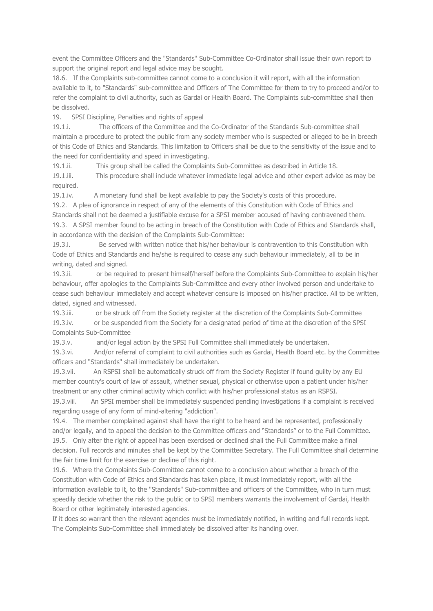event the Committee Officers and the "Standards" Sub-Committee Co-Ordinator shall issue their own report to support the original report and legal advice may be sought.

18.6. If the Complaints sub-committee cannot come to a conclusion it will report, with all the information available to it, to "Standards" sub-committee and Officers of The Committee for them to try to proceed and/or to refer the complaint to civil authority, such as Gardai or Health Board. The Complaints sub-committee shall then be dissolved.

19. SPSI Discipline, Penalties and rights of appeal

19.1.i. The officers of the Committee and the Co-Ordinator of the Standards Sub-committee shall maintain a procedure to protect the public from any society member who is suspected or alleged to be in breech of this Code of Ethics and Standards. This limitation to Officers shall be due to the sensitivity of the issue and to the need for confidentiality and speed in investigating.

19.1.ii. This group shall be called the Complaints Sub-Committee as described in Article 18. 19.1.iii. This procedure shall include whatever immediate legal advice and other expert advice as may be required.

19.1.iv. A monetary fund shall be kept available to pay the Society's costs of this procedure. 19.2. A plea of ignorance in respect of any of the elements of this Constitution with Code of Ethics and Standards shall not be deemed a justifiable excuse for a SPSI member accused of having contravened them. 19.3. A SPSI member found to be acting in breach of the Constitution with Code of Ethics and Standards shall, in accordance with the decision of the Complaints Sub-Committee:

19.3.i. Be served with written notice that his/her behaviour is contravention to this Constitution with Code of Ethics and Standards and he/she is required to cease any such behaviour immediately, all to be in writing, dated and signed.

19.3.ii. or be required to present himself/herself before the Complaints Sub-Committee to explain his/her behaviour, offer apologies to the Complaints Sub-Committee and every other involved person and undertake to cease such behaviour immediately and accept whatever censure is imposed on his/her practice. All to be written, dated, signed and witnessed.

19.3.iii. or be struck off from the Society register at the discretion of the Complaints Sub-Committee 19.3.iv. or be suspended from the Society for a designated period of time at the discretion of the SPSI Complaints Sub-Committee

19.3.v. and/or legal action by the SPSI Full Committee shall immediately be undertaken.

19.3.vi. And/or referral of complaint to civil authorities such as Gardai, Health Board etc. by the Committee officers and "Standards" shall immediately be undertaken.

19.3.vii. An RSPSI shall be automatically struck off from the Society Register if found guilty by any EU member country's court of law of assault, whether sexual, physical or otherwise upon a patient under his/her treatment or any other criminal activity which conflict with his/her professional status as an RSPSI.

19.3.viii. An SPSI member shall be immediately suspended pending investigations if a complaint is received regarding usage of any form of mind-altering "addiction".

19.4. The member complained against shall have the right to be heard and be represented, professionally and/or legally, and to appeal the decision to the Committee officers and "Standards" or to the Full Committee. 19.5. Only after the right of appeal has been exercised or declined shall the Full Committee make a final decision. Full records and minutes shall be kept by the Committee Secretary. The Full Committee shall determine the fair time limit for the exercise or decline of this right.

19.6. Where the Complaints Sub-Committee cannot come to a conclusion about whether a breach of the Constitution with Code of Ethics and Standards has taken place, it must immediately report, with all the information available to it, to the "Standards" Sub-committee and officers of the Committee, who in turn must speedily decide whether the risk to the public or to SPSI members warrants the involvement of Gardai, Health Board or other legitimately interested agencies.

If it does so warrant then the relevant agencies must be immediately notified, in writing and full records kept. The Complaints Sub-Committee shall immediately be dissolved after its handing over.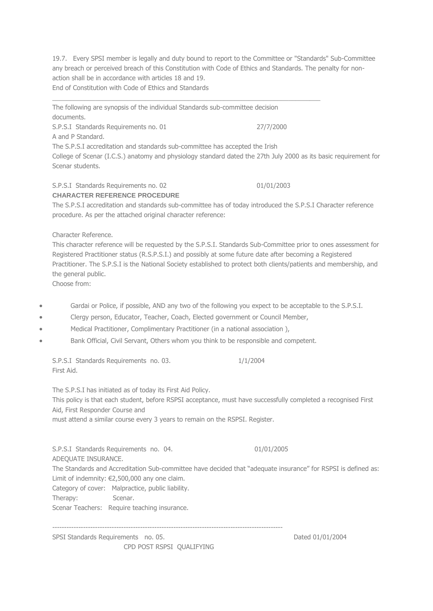19.7. Every SPSI member is legally and duty bound to report to the Committee or "Standards" Sub-Committee any breach or perceived breach of this Constitution with Code of Ethics and Standards. The penalty for nonaction shall be in accordance with articles 18 and 19. End of Constitution with Code of Ethics and Standards

 $\_$  , and the set of the set of the set of the set of the set of the set of the set of the set of the set of the set of the set of the set of the set of the set of the set of the set of the set of the set of the set of th

The following are synopsis of the individual Standards sub-committee decision documents. S.P.S.I Standards Requirements no. 01 27/7/2000 A and P Standard. The S.P.S.I accreditation and standards sub-committee has accepted the Irish College of Scenar (I.C.S.) anatomy and physiology standard dated the 27th July 2000 as its basic requirement for Scenar students.

### S.P.S.I Standards Requirements no. 02 01/01/2003 **CHARACTER REFERENCE PROCEDURE**

The S.P.S.I accreditation and standards sub-committee has of today introduced the S.P.S.I Character reference procedure. As per the attached original character reference:

Character Reference.

This character reference will be requested by the S.P.S.I. Standards Sub-Committee prior to ones assessment for Registered Practitioner status (R.S.P.S.I.) and possibly at some future date after becoming a Registered Practitioner. The S.P.S.I is the National Society established to protect both clients/patients and membership, and the general public.

Choose from:

- Gardai or Police, if possible, AND any two of the following you expect to be acceptable to the S.P.S.I.
- Clergy person, Educator, Teacher, Coach, Elected government or Council Member,
- Medical Practitioner, Complimentary Practitioner (in a national association ),
- Bank Official, Civil Servant, Others whom you think to be responsible and competent.

S.P.S.I Standards Requirements no. 03. 1/1/2004 First Aid.

The S.P.S.I has initiated as of today its First Aid Policy.

This policy is that each student, before RSPSI acceptance, must have successfully completed a recognised First Aid, First Responder Course and

must attend a similar course every 3 years to remain on the RSPSI. Register.

S.P.S.I Standards Requirements no. 04. 01/01/2005 ADEQUATE INSURANCE.

The Standards and Accreditation Sub-committee have decided that "adequate insurance" for RSPSI is defined as: Limit of indemnity: €2,500,000 any one claim.

Category of cover: Malpractice, public liability.

Therapy: Scenar.

Scenar Teachers: Require teaching insurance.

-------------------------------------------------------------------------------------------------

SPSI Standards Requirements no. 05. Dated 01/01/2004 CPD POST RSPSI QUALIFYING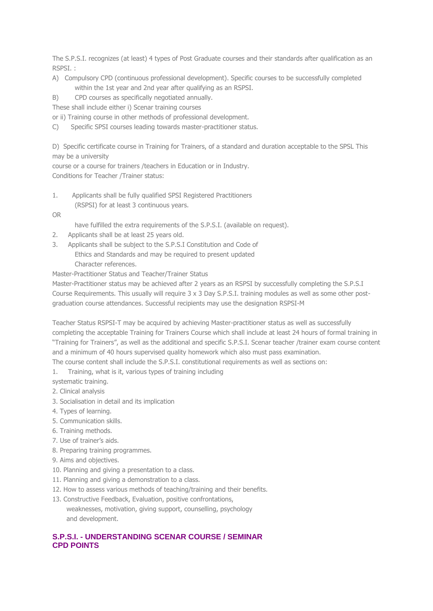The S.P.S.I. recognizes (at least) 4 types of Post Graduate courses and their standards after qualification as an RSPSI. :

- A) Compulsory CPD (continuous professional development). Specific courses to be successfully completed within the 1st year and 2nd year after qualifying as an RSPSI.
- B) CPD courses as specifically negotiated annually.

These shall include either i) Scenar training courses

or ii) Training course in other methods of professional development.

C) Specific SPSI courses leading towards master-practitioner status.

D) Specific certificate course in Training for Trainers, of a standard and duration acceptable to the SPSL This may be a university

course or a course for trainers /teachers in Education or in Industry. Conditions for Teacher /Trainer status:

- 1. Applicants shall be fully qualified SPSI Registered Practitioners (RSPSI) for at least 3 continuous years.
- OR
- have fulfilled the extra requirements of the S.P.S.I. (available on request).
- 2. Applicants shall be at least 25 years old.
- 3. Applicants shall be subject to the S.P.S.I Constitution and Code of Ethics and Standards and may be required to present updated Character references.

Master-Practitioner Status and Teacher/Trainer Status

Master-Practitioner status may be achieved after 2 years as an RSPSI by successfully completing the S.P.S.I Course Requirements. This usually will require 3 x 3 Day S.P.S.I. training modules as well as some other postgraduation course attendances. Successful recipients may use the designation RSPSI-M

Teacher Status RSPSI-T may be acquired by achieving Master-practitioner status as well as successfully completing the acceptable Training for Trainers Course which shall include at least 24 hours of formal training in "Training for Trainers", as well as the additional and specific S.P.S.I. Scenar teacher /trainer exam course content and a minimum of 40 hours supervised quality homework which also must pass examination.

The course content shall include the S.P.S.I. constitutional requirements as well as sections on:

- 1. Training, what is it, various types of training including
- systematic training.
- 2. Clinical analysis
- 3. Socialisation in detail and its implication
- 4. Types of learning.
- 5. Communication skills.
- 6. Training methods.
- 7. Use of trainer's aids.
- 8. Preparing training programmes.
- 9. Aims and objectives.
- 10. Planning and giving a presentation to a class.
- 11. Planning and giving a demonstration to a class.
- 12. How to assess various methods of teaching/training and their benefits.
- 13. Constructive Feedback, Evaluation, positive confrontations,

 weaknesses, motivation, giving support, counselling, psychology and development.

# **S.P.S.I. - UNDERSTANDING SCENAR COURSE / SEMINAR CPD POINTS**